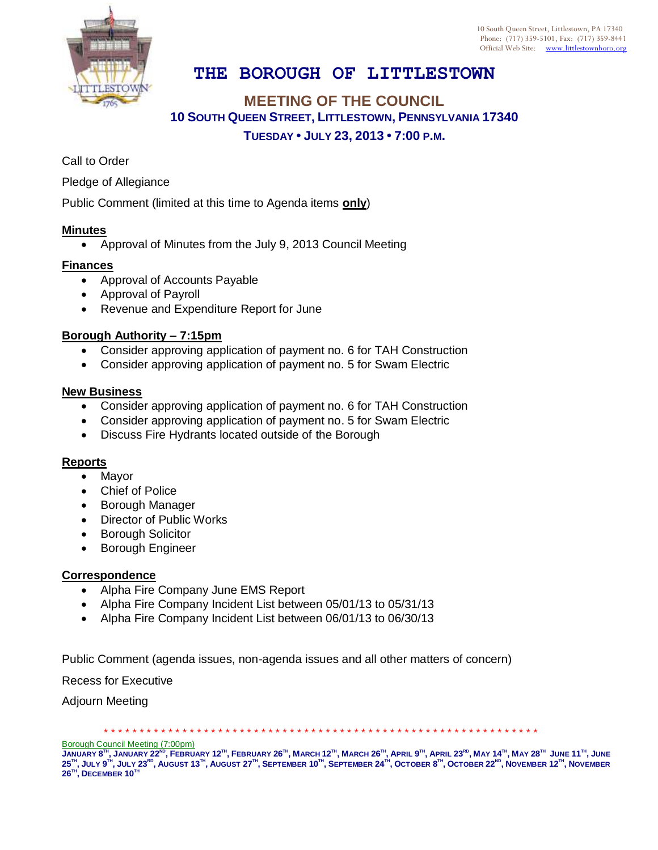

10 South Queen Street, Littlestown, PA 17340 Phone: (717) 359-5101, Fax: (717) 359-8441 Official Web Site: [www.littlestownboro.org](http://www.littlestown.us/)

# **THE BOROUGH OF LITTLESTOWN**

## **MEETING OF THE COUNCIL 10 SOUTH QUEEN STREET, LITTLESTOWN, PENNSYLVANIA 17340 TUESDAY • JULY 23, 2013 • 7:00 P.M.**

Call to Order

Pledge of Allegiance

Public Comment (limited at this time to Agenda items **only**)

#### **Minutes**

Approval of Minutes from the July 9, 2013 Council Meeting

#### **Finances**

- Approval of Accounts Payable
- Approval of Payroll
- Revenue and Expenditure Report for June

### **Borough Authority – 7:15pm**

- Consider approving application of payment no. 6 for TAH Construction
- Consider approving application of payment no. 5 for Swam Electric

#### **New Business**

- Consider approving application of payment no. 6 for TAH Construction
- Consider approving application of payment no. 5 for Swam Electric
- Discuss Fire Hydrants located outside of the Borough

#### **Reports**

- Mayor
- Chief of Police
- Borough Manager
- Director of Public Works
- **•** Borough Solicitor
- **•** Borough Engineer

#### **Correspondence**

- Alpha Fire Company June EMS Report
- Alpha Fire Company Incident List between 05/01/13 to 05/31/13
- Alpha Fire Company Incident List between 06/01/13 to 06/30/13

Public Comment (agenda issues, non-agenda issues and all other matters of concern)

Recess for Executive

Adjourn Meeting

Borough Council Meeting (7:00pm)

JANUARY 8™, JANUARY 22<sup>№</sup>, FEBRUARY 12™, FEBRUARY 26™, MARCH 12™, MARCH 26™, APRIL 9™, APRIL 23<sup>№</sup>, MAY 14™, MAY 28™ JUNE 11™, JUNE  $25^{\text{m}},$  July  $9^{\text{m}},$  July  $23^{\text{ro}},$  August 13 $^{\text{m}},$  August  $27^{\text{m}},$  September  $10^{\text{m}},$  September  $24^{\text{m}},$  October  $8^{\text{m}},$  October  $22^{\text{no}},$  November  $12^{\text{m}},$  November  $26^{\text{\tiny{TH}}}$ ,  $\textsf{DECEMBER}\ 10^{\text{\tiny{TH}}}$ 

\* \* \* \* \* \* \* \* \* \* \* \* \* \* \* \* \* \* \* \* \* \* \* \* \* \* \* \* \* \* \* \* \* \* \* \* \* \* \* \* \* \* \* \* \* \* \* \* \* \* \* \* \* \* \* \* \* \* \* \* \*